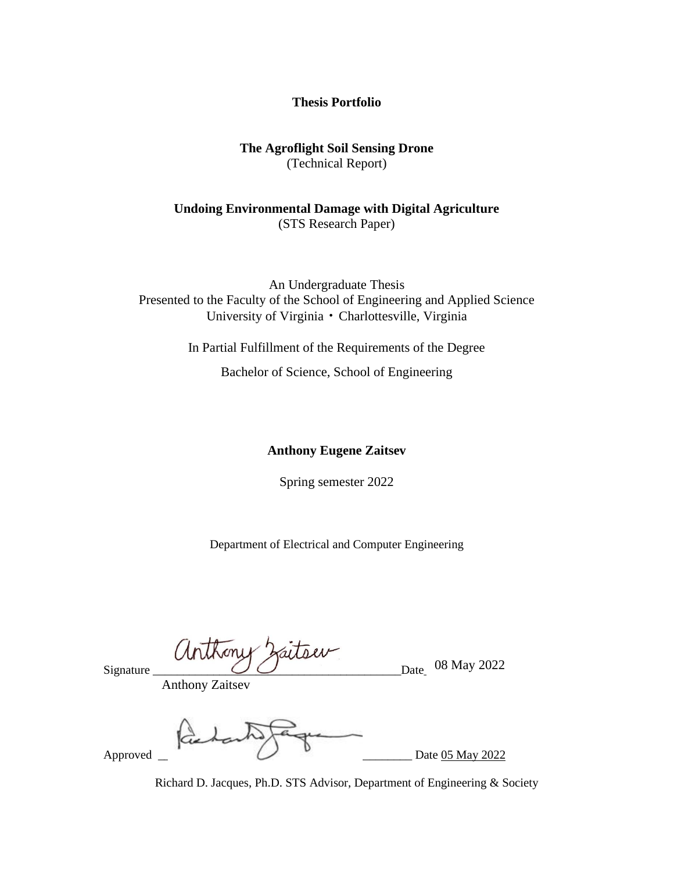### **Thesis Portfolio**

### **The Agroflight Soil Sensing Drone** (Technical Report)

## **Undoing Environmental Damage with Digital Agriculture** (STS Research Paper)

An Undergraduate Thesis Presented to the Faculty of the School of Engineering and Applied Science University of Virginia • Charlottesville, Virginia

In Partial Fulfillment of the Requirements of the Degree

Bachelor of Science, School of Engineering

#### **Anthony Eugene Zaitsev**

Spring semester 2022

Department of Electrical and Computer Engineering

Signature  $\bigcup$   $\bigcup$   $\bigcup$   $\bigcup$   $\bigcup$   $\bigcup$   $\bigcup$   $\bigcup$   $\bigcup$   $\bigcup$   $\bigcup$   $\bigcup$   $\bigcup$   $\bigcup$   $\bigcup$   $\bigcup$   $\bigcup$   $\bigcup$   $\bigcup$   $\bigcup$   $\bigcup$   $\bigcup$   $\bigcup$   $\bigcup$   $\bigcup$   $\bigcup$   $\bigcup$   $\bigcup$   $\bigcup$   $\bigcup$   $\bigcup$   $\bigcup$   $\bigcup$   $\bigcup$   $\bigcup$ 

Anthony Zaitsev

Approved Date 05 May 2022

Richard D. Jacques, Ph.D. STS Advisor, Department of Engineering & Society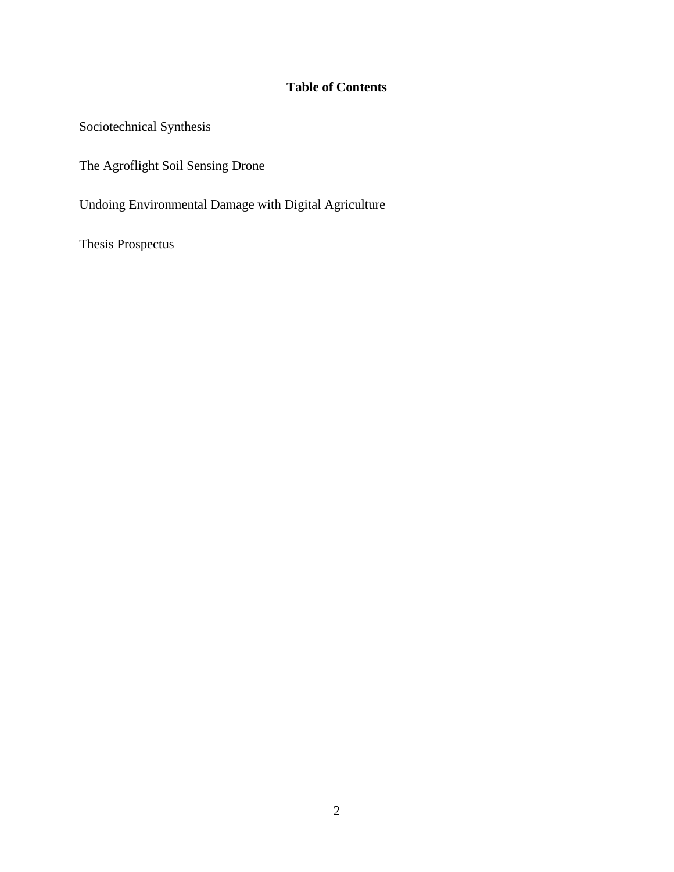# **Table of Contents**

Sociotechnical Synthesis

The Agroflight Soil Sensing Drone

Undoing Environmental Damage with Digital Agriculture

Thesis Prospectus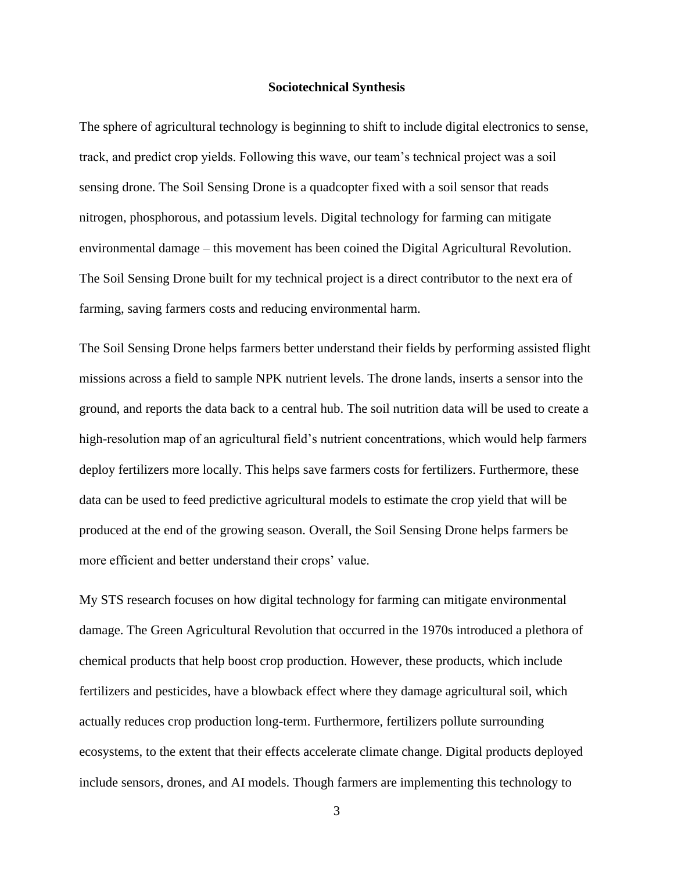#### **Sociotechnical Synthesis**

The sphere of agricultural technology is beginning to shift to include digital electronics to sense, track, and predict crop yields. Following this wave, our team's technical project was a soil sensing drone. The Soil Sensing Drone is a quadcopter fixed with a soil sensor that reads nitrogen, phosphorous, and potassium levels. Digital technology for farming can mitigate environmental damage – this movement has been coined the Digital Agricultural Revolution. The Soil Sensing Drone built for my technical project is a direct contributor to the next era of farming, saving farmers costs and reducing environmental harm.

The Soil Sensing Drone helps farmers better understand their fields by performing assisted flight missions across a field to sample NPK nutrient levels. The drone lands, inserts a sensor into the ground, and reports the data back to a central hub. The soil nutrition data will be used to create a high-resolution map of an agricultural field's nutrient concentrations, which would help farmers deploy fertilizers more locally. This helps save farmers costs for fertilizers. Furthermore, these data can be used to feed predictive agricultural models to estimate the crop yield that will be produced at the end of the growing season. Overall, the Soil Sensing Drone helps farmers be more efficient and better understand their crops' value.

My STS research focuses on how digital technology for farming can mitigate environmental damage. The Green Agricultural Revolution that occurred in the 1970s introduced a plethora of chemical products that help boost crop production. However, these products, which include fertilizers and pesticides, have a blowback effect where they damage agricultural soil, which actually reduces crop production long-term. Furthermore, fertilizers pollute surrounding ecosystems, to the extent that their effects accelerate climate change. Digital products deployed include sensors, drones, and AI models. Though farmers are implementing this technology to

3